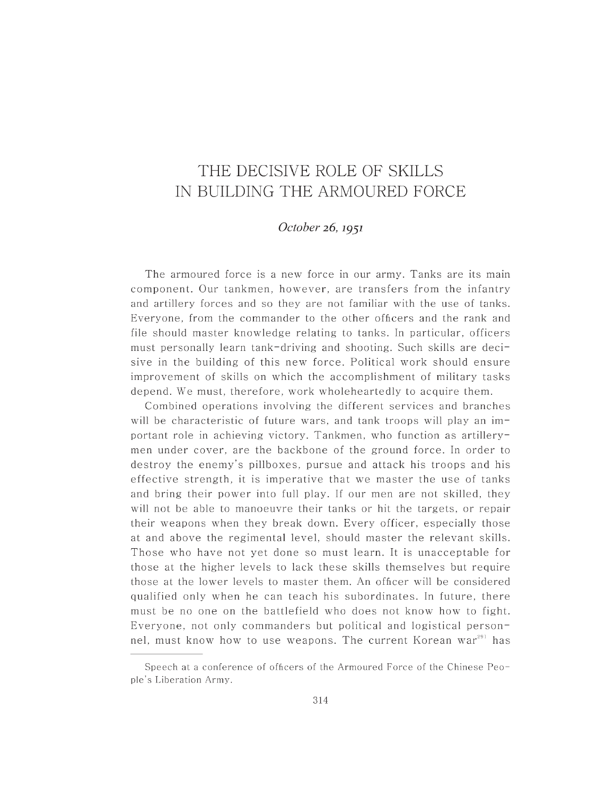## THE DECISIVE ROLE OF SKILLS IN BUILDING THE ARMOURED FORCE

## *October* 26, 1951

The armoured force is a new force in our army. Tanks are its main component. Our tankmen, however, are transfers from the infantry and artillery forces and so they are not familiar with the use of tanks. Everyone, from the commander to the other officers and the rank and file should master knowledge relating to tanks. In particular, officers must personally learn tank-driving and shooting. Such skills are decisive in the building of this new force. Political work should ensure improvement of skills on which the accomplishment of military tasks depend. We must, therefore, work wholeheartedly to acquire them.

Combined operations involving the different services and branches will be characteristic of future wars, and tank troops will play an important role in achieving victory. Tankmen, who function as artillerymen under cover, are the backbone of the ground force. In order to destroy the enemy's pillboxes, pursue and attack his troops and his effective strength, it is imperative that we master the use of tanks and bring their power into full play. If our men are not skilled, they will not be able to manoeuvre their tanks or hit the targets, or repair their weapons when they break down. Every officer, especially those at and above the regimental level, should maste r the relevant skills. Those who have not yet done so must learn. It is unacceptable for those at the higher levels to lack these skills themselves but require those at the lower levels to master them. An officer will be considered qualified only when he can teach his subordinates. In future, there must be no one on the battlefield who does not know how to fight. Everyone, not only commanders but political and logistical personnel, must know how to use weapons. The current Korean war $^{291}$  has

Speech at a conference of officers of the Armoured Force of the Chinese People's Liberation Army.